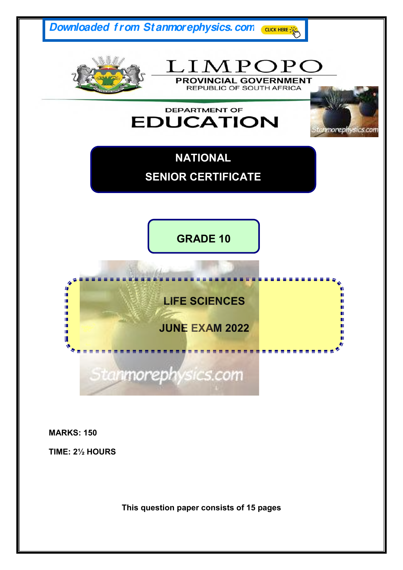

**MARKS: 150** 

**TIME: 2½ HOURS** 

**This question paper consists of 15 pages**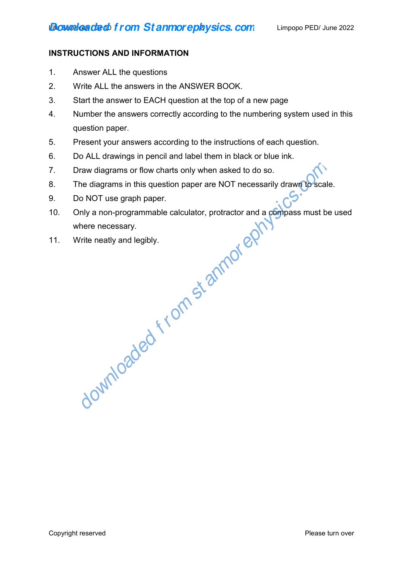# **INSTRUCTIONS AND INFORMATION**

- 1. Answer ALL the questions
- 2. Write ALL the answers in the ANSWER BOOK.
- 3. Start the answer to EACH question at the top of a new page
- 4. Number the answers correctly according to the numbering system used in this question paper.
- 5. Present your answers according to the instructions of each question.
- 6. Do ALL drawings in pencil and label them in black or blue ink.
- 7. Draw diagrams or flow charts only when asked to do so.
- 8. The diagrams in this question paper are NOT necessarily drawn to scale.
- 9. Do NOT use graph paper.
- 10. Only a non-programmable calculator, protractor and a compass must be used where necessary. braw diagrams or flow charts only when asked to do so.<br>The diagrams in this question paper are NOT necessarily drawn to scale<br>to NOT use graph paper.<br>Do NOT use graph paper.<br>White necessary.<br>Write neatly and legibly.<br>Write
- 11. Write neatly and legibly.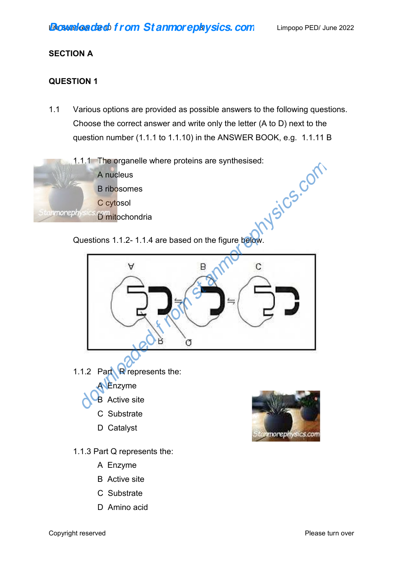## **SECTION A**

# **QUESTION 1**

1.1 Various options are provided as possible answers to the following questions. Choose the correct answer and write only the letter (A to D) next to the question number (1.1.1 to 1.1.10) in the ANSWER BOOK, e.g. 1.1.11 B







- A Enzyme
- B Active site
- C Substrate
- D Amino acid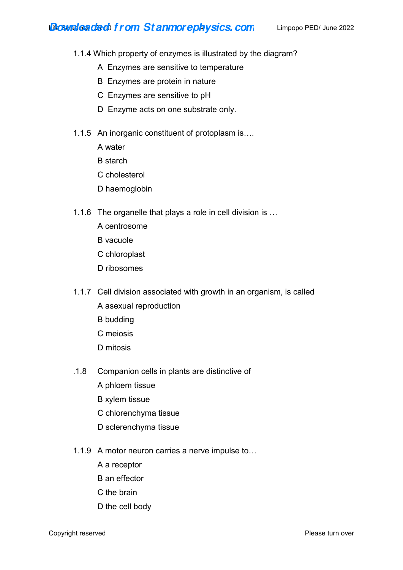# **Boweleaded from Stanmorephysics.com** Limpopo PED/ June 2022

- 1.1.4 Which property of enzymes is illustrated by the diagram?
	- A Enzymes are sensitive to temperature
	- B Enzymes are protein in nature
	- C Enzymes are sensitive to pH
	- D Enzyme acts on one substrate only.
- 1.1.5 An inorganic constituent of protoplasm is….
	- A water
	- B starch
	- C cholesterol
	- D haemoglobin
- 1.1.6 The organelle that plays a role in cell division is …
	- A centrosome
	- B vacuole
	- C chloroplast
	- D ribosomes
- 1.1.7 Cell division associated with growth in an organism, is called
	- A asexual reproduction
	- B budding
	- C meiosis
	- D mitosis
- .1.8 Companion cells in plants are distinctive of
	- A phloem tissue
	- B xylem tissue
	- C chlorenchyma tissue
	- D sclerenchyma tissue
- 1.1.9 A motor neuron carries a nerve impulse to…
	- A a receptor
	- B an effector
	- C the brain
	- D the cell body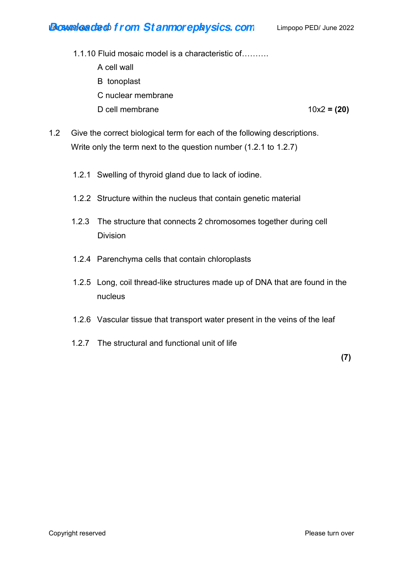# **Life State death f rom St anmorephysics. com** Limpopo PED/ June 2022

- 1.1.10 Fluid mosaic model is a characteristic of……….
	- A cell wall
	- B tonoplast
	- C nuclear membrane
	- D cell membrane 10x2 **= (20)**

- 1.2 Give the correct biological term for each of the following descriptions. Write only the term next to the question number (1.2.1 to 1.2.7)
	- 1.2.1 Swelling of thyroid gland due to lack of iodine.
	- 1.2.2 Structure within the nucleus that contain genetic material
	- 1.2.3 The structure that connects 2 chromosomes together during cell Division
	- 1.2.4 Parenchyma cells that contain chloroplasts
	- 1.2.5 Long, coil thread-like structures made up of DNA that are found in the nucleus
	- 1.2.6 Vascular tissue that transport water present in the veins of the leaf
	- 1.2.7 The structural and functional unit of life

**(7)**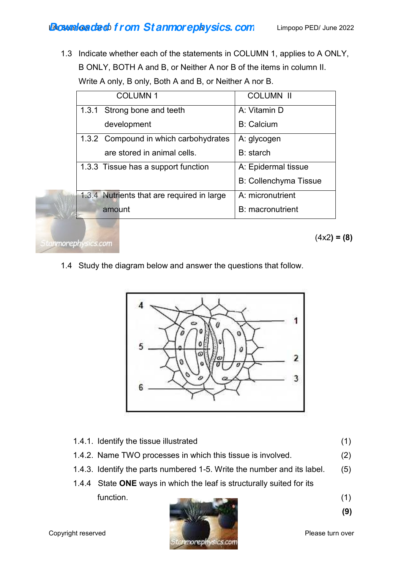1.3 Indicate whether each of the statements in COLUMN 1, applies to A ONLY, B ONLY, BOTH A and B, or Neither A nor B of the items in column II. Write A only, B only, Both A and B, or Neither A nor B.

| <b>COLUMN1</b>                             | <b>COLUMN II</b>             |
|--------------------------------------------|------------------------------|
| 1.3.1 Strong bone and teeth                | A: Vitamin D                 |
| development                                | <b>B: Calcium</b>            |
| 1.3.2 Compound in which carbohydrates      | A: glycogen                  |
| are stored in animal cells.                | B: starch                    |
| 1.3.3 Tissue has a support function        | A: Epidermal tissue          |
|                                            | <b>B: Collenchyma Tissue</b> |
| 1.3.4 Nutrients that are required in large | A: micronutrient             |
| amount                                     | <b>B</b> : macronutrient     |

1.4 Study the diagram below and answer the questions that follow.



- 1.4.1. Identify the tissue illustrated (1)
- 1.4.2. Name TWO processes in which this tissue is involved. (2)
- 1.4.3. Identify the parts numbered 1-5. Write the number and its label. (5)
- 1.4.4 State **ONE** ways in which the leaf is structurally suited for its  $function.$  (1)

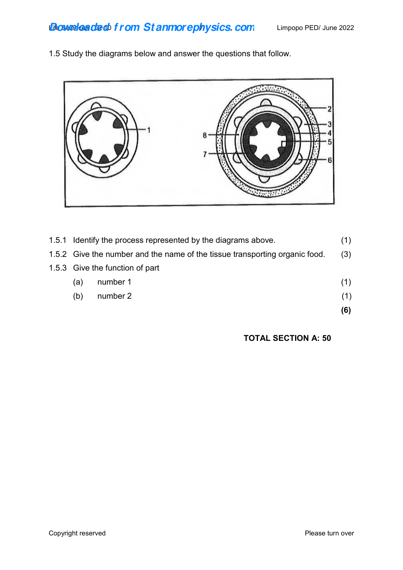1.5 Study the diagrams below and answer the questions that follow.



|                                                                             |                                                               | (6) |
|-----------------------------------------------------------------------------|---------------------------------------------------------------|-----|
| (b)                                                                         | number 2                                                      | (1) |
| (a)                                                                         | number 1                                                      | (1) |
|                                                                             | 1.5.3 Give the function of part                               |     |
| 1.5.2 Give the number and the name of the tissue transporting organic food. |                                                               |     |
|                                                                             | 1.5.1 Identify the process represented by the diagrams above. | (1) |

**TOTAL SECTION A: 50**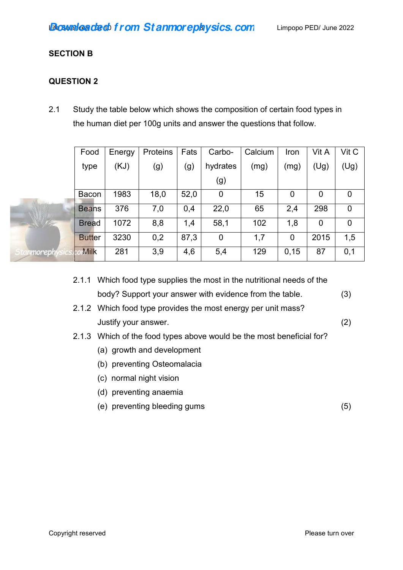## **SECTION B**

# **QUESTION 2**

2.1 Study the table below which shows the composition of certain food types in the human diet per 100g units and answer the questions that follow.

|                  | Food          | Energy | Proteins | Fats | Carbo-           | Calcium | Iron | Vit A       | Vit C          |
|------------------|---------------|--------|----------|------|------------------|---------|------|-------------|----------------|
|                  | type          | (KJ)   | (g)      | (g)  | hydrates         | (mg)    | (mg) | (Ug)        | (Ug)           |
|                  |               |        |          |      | (g)              |         |      |             |                |
|                  | Bacon         | 1983   | 18,0     | 52,0 | $\mathbf 0$      | 15      | 0    | 0           | 0              |
|                  | <b>Beans</b>  | 376    | 7,0      | 0,4  | 22,0             | 65      | 2,4  | 298         | $\mathbf 0$    |
| スワー              | <b>Bread</b>  | 1072   | 8,8      | 1,4  | 58,1             | 102     | 1,8  | $\mathbf 0$ | $\overline{0}$ |
|                  | <b>Butter</b> | 3230   | 0,2      | 87,3 | $\boldsymbol{0}$ | 1,7     | 0    | 2015        | 1,5            |
| nmoreph<br>$-10$ | Milk<br>w     | 281    | 3,9      | 4,6  | 5,4              | 129     | 0,15 | 87          | 0,1            |

- 2.1.1 Which food type supplies the most in the nutritional needs of the body? Support your answer with evidence from the table. (3)
- 2.1.2 Which food type provides the most energy per unit mass? Justify your answer. (2)
- 2.1.3 Which of the food types above would be the most beneficial for?
	- (a) growth and development
	- (b) preventing Osteomalacia
	- (c) normal night vision
	- (d) preventing anaemia
	- (e) preventing bleeding gums (5)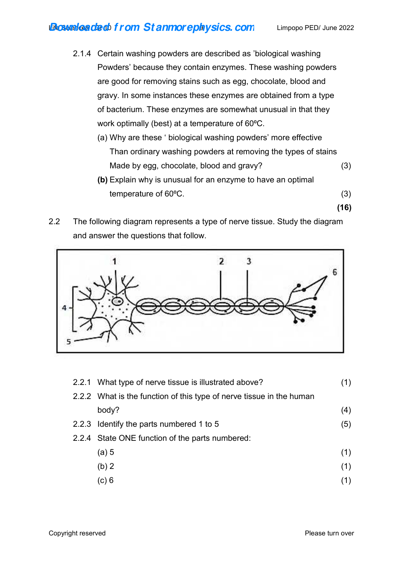# **Life State death f rom St anmorephysics. com** Limpopo PED/ June 2022

- 2.1.4 Certain washing powders are described as 'biological washing Powders' because they contain enzymes. These washing powders are good for removing stains such as egg, chocolate, blood and gravy. In some instances these enzymes are obtained from a type of bacterium. These enzymes are somewhat unusual in that they work optimally (best) at a temperature of 60°C.
	- (a) Why are these ' biological washing powders' more effective Than ordinary washing powders at removing the types of stains Made by egg, chocolate, blood and gravy? (3)

**(16)** 

- **(b)** Explain why is unusual for an enzyme to have an optimal temperature of  $60^{\circ}$ C. (3)
- 2.2 The following diagram represents a type of nerve tissue. Study the diagram and answer the questions that follow.



|  | 2.2.1 What type of nerve tissue is illustrated above?                |     |
|--|----------------------------------------------------------------------|-----|
|  | 2.2.2 What is the function of this type of nerve tissue in the human |     |
|  | body?                                                                | (4) |
|  | 2.2.3 Identify the parts numbered 1 to 5                             | (5) |
|  | 2.2.4 State ONE function of the parts numbered:                      |     |
|  | (a) 5                                                                | (1) |
|  | (b) 2                                                                | (1) |
|  | (c) 6                                                                |     |
|  |                                                                      |     |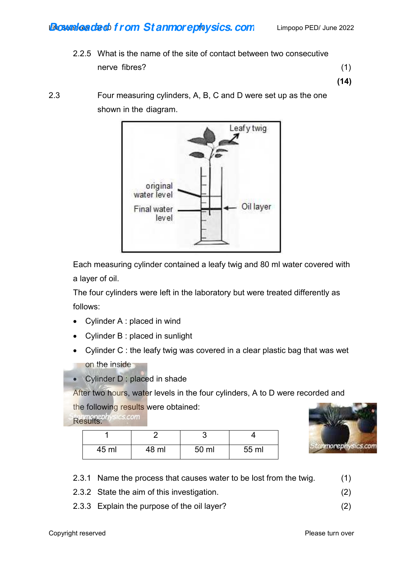# **Boweleaded from Stanmoreplaysics.com** Limpopo PED/ June 2022

 2.2.5 What is the name of the site of contact between two consecutive nerve fibres? (1)

**(14)** 

2.3 Four measuring cylinders, A, B, C and D were set up as the one shown in the diagram.



 Each measuring cylinder contained a leafy twig and 80 ml water covered with a layer of oil.

 The four cylinders were left in the laboratory but were treated differently as follows:

- Cylinder A : placed in wind
- Cylinder B : placed in sunlight
- Cylinder C : the leafy twig was covered in a clear plastic bag that was wet on the inside
- Cylinder D : placed in shade

After two hours, water levels in the four cylinders, A to D were recorded and

the following results were obtained:

Results: **Results:** 

| 45 ml | 48 ml | 50 ml | 55 ml |
|-------|-------|-------|-------|



- 2.3.1 Name the process that causes water to be lost from the twig. (1)
- 2.3.2 State the aim of this investigation. (2)
- 2.3.3 Explain the purpose of the oil layer? (2)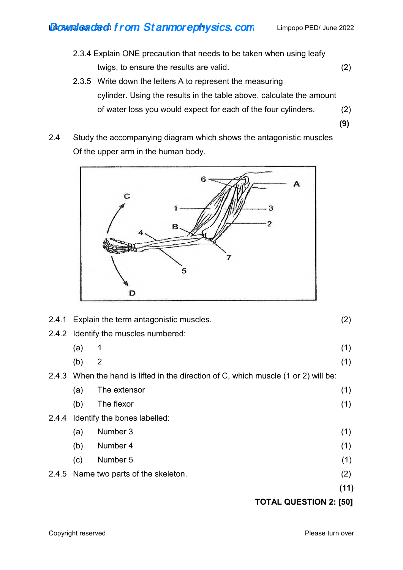# **Boweleaded from Stanmorephysics.com** Limpopo PED/ June 2022

- 2.3.4 Explain ONE precaution that needs to be taken when using leafy twigs, to ensure the results are valid. (2) 2.3.5 Write down the letters A to represent the measuring
	- cylinder. Using the results in the table above, calculate the amount of water loss you would expect for each of the four cylinders. (2)
- 2.4 Study the accompanying diagram which shows the antagonistic muscles Of the upper arm in the human body.

 **(9)** 



| 2.4.1 |     | Explain the term antagonistic muscles.                                        | (2)  |
|-------|-----|-------------------------------------------------------------------------------|------|
|       |     | 2.4.2 Identify the muscles numbered:                                          |      |
|       | (a) | $\mathbf 1$                                                                   | (1)  |
|       | (b) | 2                                                                             | (1)  |
| 2.4.3 |     | When the hand is lifted in the direction of C, which muscle (1 or 2) will be: |      |
|       | (a) | The extensor                                                                  | (1)  |
|       | (b) | The flexor                                                                    | (1)  |
| 2.4.4 |     | Identify the bones labelled:                                                  |      |
|       | (a) | Number 3                                                                      | (1)  |
|       | (b) | Number 4                                                                      | (1)  |
|       | (c) | Number 5                                                                      | (1)  |
| 2.4.5 |     | Name two parts of the skeleton.                                               | (2)  |
|       |     |                                                                               | (11) |
|       |     | ALIFOTIAN 9. IEA1                                                             |      |

# **TOTAL QUESTION 2: [50]**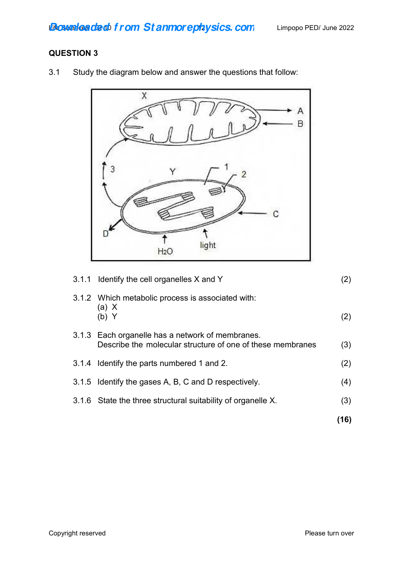# **QUESTION 3**

- $\overline{X}$ А  $\overline{B}$ 3  $\overline{2}$ C 1 Đ ↑ light  $H<sub>2</sub>O$
- 3.1 Study the diagram below and answer the questions that follow:

| 3.1.1 Identify the cell organelles X and Y                                                                     | (2)  |
|----------------------------------------------------------------------------------------------------------------|------|
| 3.1.2 Which metabolic process is associated with:<br>(a) X<br>(b) Y                                            | (2)  |
| 3.1.3 Each organelle has a network of membranes.<br>Describe the molecular structure of one of these membranes | (3)  |
| 3.1.4 Identify the parts numbered 1 and 2.                                                                     | (2)  |
| 3.1.5 Identify the gases A, B, C and D respectively.                                                           | (4)  |
| 3.1.6 State the three structural suitability of organelle X.                                                   | (3)  |
|                                                                                                                | (16) |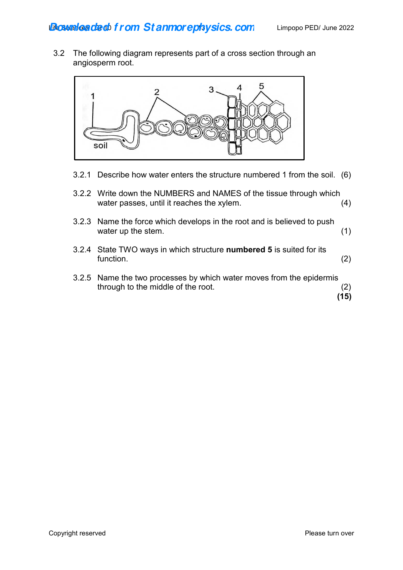3.2 The following diagram represents part of a cross section through an angiosperm root.



3.2.1 Describe how water enters the structure numbered 1 from the soil. (6)

| 3.2.2 Write down the NUMBERS and NAMES of the tissue through which |     |
|--------------------------------------------------------------------|-----|
| water passes, until it reaches the xylem.                          | (4) |

- 3.2.3 Name the force which develops in the root and is believed to push water up the stem. (1)
- 3.2.4 State TWO ways in which structure **numbered 5** is suited for its function. (2)
- 3.2.5 Name the two processes by which water moves from the epidermis through to the middle of the root. (2)<br>
(15)  **(15)**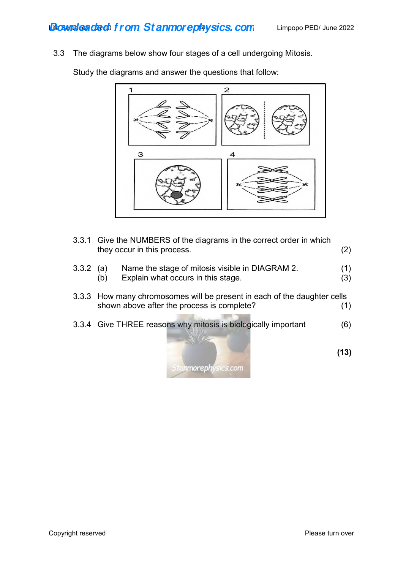3.3 The diagrams below show four stages of a cell undergoing Mitosis.

Study the diagrams and answer the questions that follow:



- 3.3.1 Give the NUMBERS of the diagrams in the correct order in which they occur in this process. (2)
- 3.3.2 (a) Name the stage of mitosis visible in DIAGRAM 2. (1) (b) Explain what occurs in this stage. (3)
- 3.3.3 How many chromosomes will be present in each of the daughter cells shown above after the process is complete? (1)
- 3.3.4 Give THREE reasons why mitosis is biologically important (6)



 **(13)**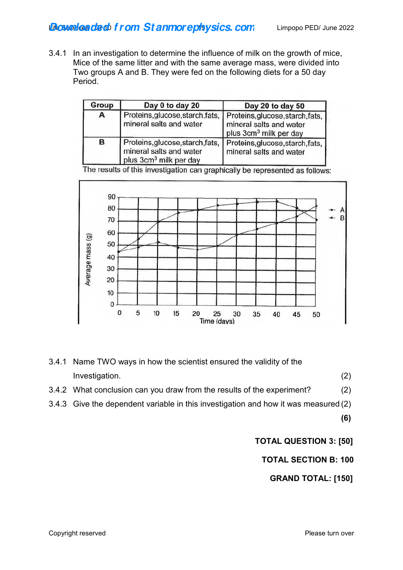3.4.1 In an investigation to determine the influence of milk on the growth of mice, Mice of the same litter and with the same average mass, were divided into Two groups A and B. They were fed on the following diets for a 50 day Period.

| Group        | Day 0 to day 20                                                                                   | Day 20 to day 50                                                                                  |
|--------------|---------------------------------------------------------------------------------------------------|---------------------------------------------------------------------------------------------------|
| $\mathbf{A}$ | Proteins, glucose, starch, fats,<br>mineral salts and water                                       | Proteins, glucose, starch, fats,<br>mineral salts and water<br>plus 3cm <sup>3</sup> milk per day |
| в            | Proteins, glucose, starch, fats,<br>mineral salts and water<br>plus 3cm <sup>3</sup> milk per day | Proteins, glucose, starch, fats,<br>mineral salts and water                                       |

The results of this investigation can graphically be represented as follows:



- 3.4.1 Name TWO ways in how the scientist ensured the validity of the Investigation. (2) 3.4.2 What conclusion can you draw from the results of the experiment? (2)
- 3.4.3 Give the dependent variable in this investigation and how it was measured (2)

**(6)** 

 **TOTAL QUESTION 3: [50]**

 **TOTAL SECTION B: 100** 

 **GRAND TOTAL: [150]**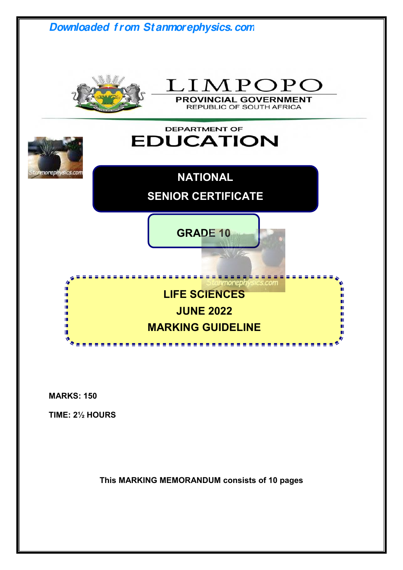

**MARKS: 150** 

**TIME: 2½ HOURS** 

**This MARKING MEMORANDUM consists of 10 pages**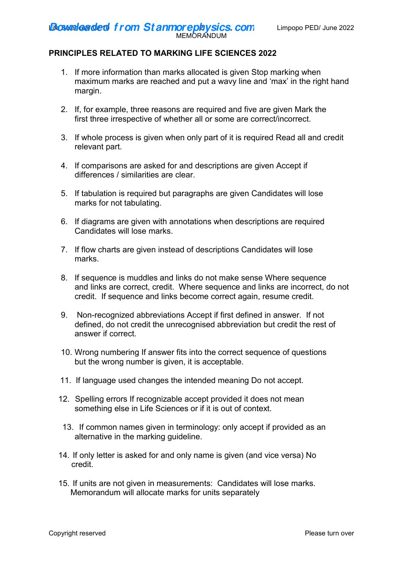## **PRINCIPLES RELATED TO MARKING LIFE SCIENCES 2022**

- 1. If more information than marks allocated is given Stop marking when maximum marks are reached and put a wavy line and 'max' in the right hand margin.
- 2. If, for example, three reasons are required and five are given Mark the first three irrespective of whether all or some are correct/incorrect.
- 3. If whole process is given when only part of it is required Read all and credit relevant part.
- 4. If comparisons are asked for and descriptions are given Accept if differences / similarities are clear.
- 5. If tabulation is required but paragraphs are given Candidates will lose marks for not tabulating.
- 6. If diagrams are given with annotations when descriptions are required Candidates will lose marks.
- 7. If flow charts are given instead of descriptions Candidates will lose marks.
- 8. If sequence is muddles and links do not make sense Where sequence and links are correct, credit. Where sequence and links are incorrect, do not credit. If sequence and links become correct again, resume credit.
- 9. Non-recognized abbreviations Accept if first defined in answer. If not defined, do not credit the unrecognised abbreviation but credit the rest of answer if correct.
- 10. Wrong numbering If answer fits into the correct sequence of questions but the wrong number is given, it is acceptable.
- 11. If language used changes the intended meaning Do not accept.
- 12. Spelling errors If recognizable accept provided it does not mean something else in Life Sciences or if it is out of context.
- 13. If common names given in terminology: only accept if provided as an alternative in the marking guideline.
- 14. If only letter is asked for and only name is given (and vice versa) No credit.
- 15. If units are not given in measurements: Candidates will lose marks. Memorandum will allocate marks for units separately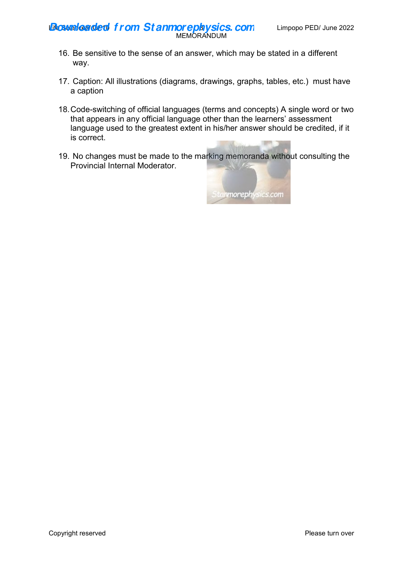**Life SMS CRECT TOM Stanmorephysics.com** Limpopo PED/ June 2022 **Downloaded f rom St anmorephysics. com**

- MEMORANDUM
- 16. Be sensitive to the sense of an answer, which may be stated in a different way.
- 17. Caption: All illustrations (diagrams, drawings, graphs, tables, etc.) must have a caption
- 18. Code-switching of official languages (terms and concepts) A single word or two that appears in any official language other than the learners' assessment language used to the greatest extent in his/her answer should be credited, if it is correct.
- 19. No changes must be made to the marking memoranda without consulting the Provincial Internal Moderator.

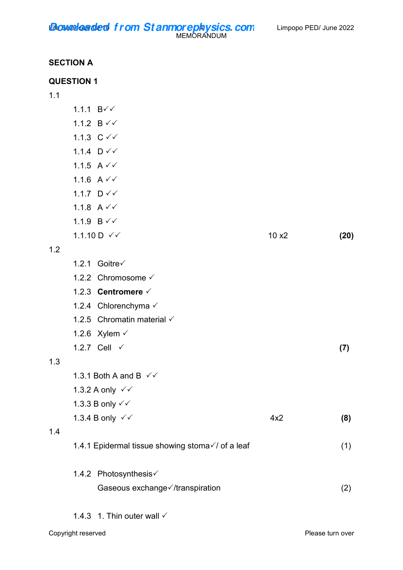**Life SMS CRECT TOM Stanmorephysics.com** Limpopo PED/ June 2022 MEMORANDUM **Downloaded f rom St anmorephysics. com**

# **SECTION A**

|     | <b>QUESTION 1</b>                                |       |      |
|-----|--------------------------------------------------|-------|------|
| 1.1 |                                                  |       |      |
|     | 1.1.1 $B\check{v}$                               |       |      |
|     | 1.1.2 $B \checkmark$                             |       |      |
|     | 1.1.3 $C \vee C$                                 |       |      |
|     | 1.1.4 $D \checkmark$                             |       |      |
|     | 1.1.5 $A \vee C$                                 |       |      |
|     | 1.1.6 $A \vee C$                                 |       |      |
|     | 1.1.7 $D \checkmark$                             |       |      |
|     | 1.1.8 $A \vee C$                                 |       |      |
|     | 1.1.9 $B \checkmark$                             |       |      |
|     | 1.1.10 $D \checkmark$                            | 10 x2 | (20) |
| 1.2 |                                                  |       |      |
|     | 1.2.1 Goitre√                                    |       |      |
|     | 1.2.2 Chromosome √                               |       |      |
|     | 1.2.3 Centromere $\checkmark$                    |       |      |
|     | 1.2.4 Chlorenchyma √                             |       |      |
|     | 1.2.5 Chromatin material √                       |       |      |
|     | 1.2.6 Xylem $\checkmark$                         |       |      |
|     | 1.2.7 Cell √                                     |       | (7)  |
| 1.3 |                                                  |       |      |
|     | 1.3.1 Both A and B $\checkmark$                  |       |      |
|     | 1.3.2 A only √√                                  |       |      |
|     | 1.3.3 B only √ √                                 |       |      |
|     | 1.3.4 B only $\checkmark\checkmark$              | 4x2   | (8)  |
| 1.4 |                                                  |       |      |
|     | 1.4.1 Epidermal tissue showing stoma√/ of a leaf |       | (1)  |
|     | 1.4.2 Photosynthesis√                            |       |      |
|     | Gaseous exchange√/transpiration                  |       | (2)  |
|     | 1.4.3 1. Thin outer wall $\checkmark$            |       |      |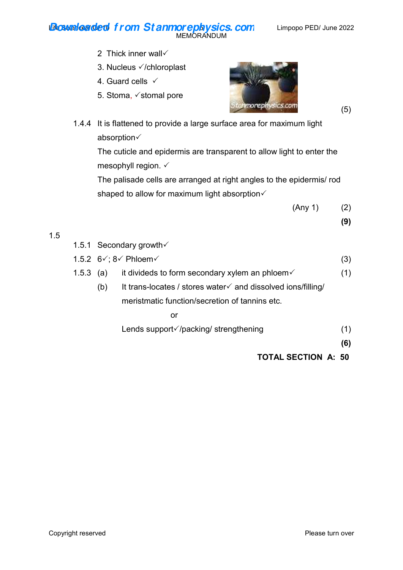#### **Life SMS CRECT TOM Stanmorephysics.com** Limpopo PED/ June 2022 MEMORANDUM **Downloaded f rom St anmorephysics. com**

- 2 Thick inner wall  $\checkmark$
- 3. Nucleus  $\checkmark$ /chloroplast
- 4. Guard cells  $\checkmark$
- 5. Stoma,  $\checkmark$  stomal pore



 1.4.4 It is flattened to provide a large surface area for maximum light absorption

 The cuticle and epidermis are transparent to allow light to enter the mesophyll region.  $\checkmark$ 

 The palisade cells are arranged at right angles to the epidermis/ rod shaped to allow for maximum light absorption $\checkmark$ 

 $(\text{Any } 1)$  (2)

**(9)** 

|  | 1.5.1 Secondary growth√ |
|--|-------------------------|
|--|-------------------------|

1.5

|           | 1.5.2 $6\sqrt{3}$ : 8 $\sqrt{2}$ Phloem $\sqrt{2}$         | (3) |
|-----------|------------------------------------------------------------|-----|
| 1.5.3 (a) | it divideds to form secondary xylem an phloem $\checkmark$ | (1) |

(b) It trans-locates / stores water  $\checkmark$  and dissolved ions/filling/ meristmatic function/secretion of tannins etc.

or and the contract of the contract of the contract of the contract of the contract of the contract of the con

Lends support $\sqrt{}$ /packing/ strengthening (1)

**(6)** 

 **TOTAL SECTION A: 50**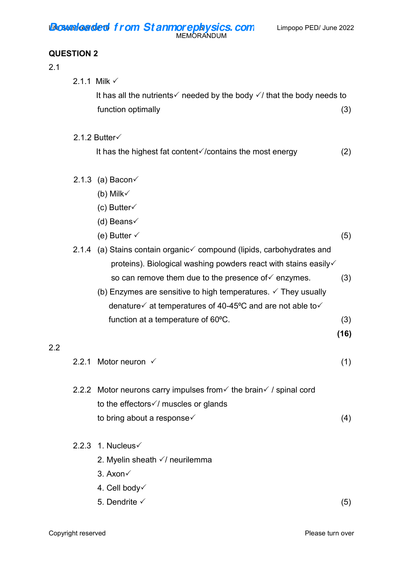# **QUESTION 2**

#### 2.1

2.2

|         |       | 2.1.1 Milk $\checkmark$                                                                                            |      |
|---------|-------|--------------------------------------------------------------------------------------------------------------------|------|
|         |       | It has all the nutrients $\checkmark$ needed by the body $\checkmark$ that the body needs to<br>function optimally | (3)  |
|         |       |                                                                                                                    |      |
|         |       | 2.1.2 Butter $\checkmark$                                                                                          |      |
|         |       | It has the highest fat content $\sqrt{2}$ / contains the most energy                                               | (2)  |
|         |       | 2.1.3 (a) Bacon $\checkmark$                                                                                       |      |
|         |       | (b) Milk $\checkmark$                                                                                              |      |
|         |       | (c) Butter $\checkmark$                                                                                            |      |
|         |       | (d) Beans $\checkmark$                                                                                             |      |
|         |       | (e) Butter $\checkmark$                                                                                            | (5)  |
|         |       | 2.1.4 (a) Stains contain organic√ compound (lipids, carbohydrates and                                              |      |
|         |       | proteins). Biological washing powders react with stains easily√                                                    |      |
|         |       | so can remove them due to the presence of $\checkmark$ enzymes.                                                    | (3)  |
|         |       | (b) Enzymes are sensitive to high temperatures. $\checkmark$ They usually                                          |      |
|         |       | denature $\checkmark$ at temperatures of 40-45°C and are not able to $\checkmark$                                  |      |
|         |       | function at a temperature of 60°C.                                                                                 | (3)  |
| $2.2\,$ |       |                                                                                                                    | (16) |
|         | 2.2.1 | Motor neuron $\checkmark$                                                                                          | (1)  |
|         |       | 2.2.2 Motor neurons carry impulses from $\checkmark$ the brain $\checkmark$ / spinal cord                          |      |
|         |       | to the effectors $\sqrt{}$ muscles or glands                                                                       |      |
|         |       | to bring about a response√                                                                                         | (4)  |
|         |       | 2.2.3 1. Nucleus $\checkmark$                                                                                      |      |
|         |       | 2. Myelin sheath √/ neurilemma                                                                                     |      |
|         |       | 3. Axon√                                                                                                           |      |
|         |       | 4. Cell body                                                                                                       |      |

5. Dendrite  $\checkmark$  (5)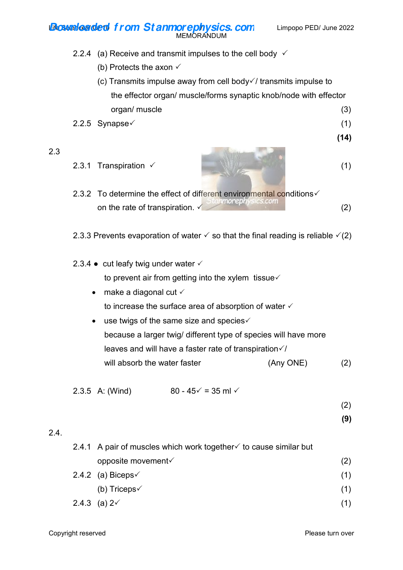**Life SMS CRECT TOM Stanmorephysics.com** Limpopo PED/ June 2022 MEMORANDUM **Downloaded f rom St anmorephysics. com**

2.2.4 (a) Receive and transmit impulses to the cell body  $\checkmark$ 

- (b) Protects the axon  $\checkmark$
- (c) Transmits impulse away from cell body $\sqrt{}/$  transmits impulse to the effector organ/ muscle/forms synaptic knob/node with effector organ/ muscle (3)
- $2.2.5$  Synapse $\checkmark$  (1)
	- **(14)**
- 2.3
- $2.3.1$  Transpiration  $\checkmark$  (1)
- 2.3.2 To determine the effect of different environmental conditions  $\checkmark$ on the rate of transpiration.  $\sqrt{\frac{5 \tan m \sigma}{2}}$  (2)
- 2.3.3 Prevents evaporation of water  $\checkmark$  so that the final reading is reliable  $\checkmark$  (2)
- 2.3.4  $\bullet$  cut leafy twig under water  $\checkmark$ to prevent air from getting into the xylem tissue $\checkmark$ 
	- $\bullet$  make a diagonal cut  $\checkmark$ to increase the surface area of absorption of water  $\checkmark$
	- $\bullet$  use twigs of the same size and species $\checkmark$  because a larger twig/ different type of species will have more leaves and will have a faster rate of transpiration $\sqrt{I}$ will absorb the water faster (Any ONE) (2)

2.3.5 A: (Wind)  $80 - 45 \checkmark = 35$  ml  $\checkmark$ 

(2)

**(9)**

# 2.4.

| 2.4.1 A pair of muscles which work together $\checkmark$ to cause similar but |     |
|-------------------------------------------------------------------------------|-----|
| opposite movement $\checkmark$                                                | (2) |
| 2.4.2 (a) Biceps $\checkmark$                                                 | (1) |
| (b) Triceps $\checkmark$                                                      | (1) |
| 2.4.3 (a) $2\sqrt{ }$                                                         |     |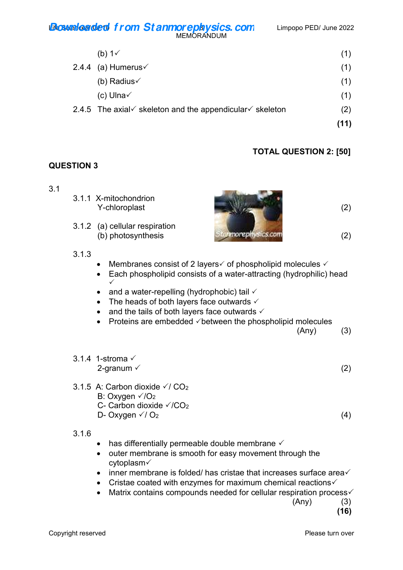#### **Life SMS CRECT TOM Stanmorephysics.com** Limpopo PED/ June 2022 MEMORANDUM **Downloaded f rom St anmorephysics. com**

| (b) $1\sqrt{ }$                                                                  | (1)  |
|----------------------------------------------------------------------------------|------|
| 2.4.4 (a) Humerus $\checkmark$                                                   | (1)  |
| (b) Radius $\checkmark$                                                          | (1)  |
| (c) Ulna $\checkmark$                                                            | (1)  |
| 2.4.5 The axial $\checkmark$ skeleton and the appendicular $\checkmark$ skeleton | (2)  |
|                                                                                  | (11) |

# **TOTAL QUESTION 2: [50]**

## **QUESTION 3**

3.1

| 3.1 | 3.1.1 X-mitochondrion<br>Y-chloroplast               |       | 2) |
|-----|------------------------------------------------------|-------|----|
|     | 3.1.2 (a) cellular respiration<br>(b) photosynthesis | moren | 2) |
|     | 3.1.3                                                |       |    |

- Membranes consist of 2 layers $\checkmark$  of phospholipid molecules  $\checkmark$
- Each phospholipid consists of a water-attracting (hydrophilic) head
- $\checkmark$ • and a water-repelling (hydrophobic) tail  $\checkmark$
- The heads of both layers face outwards  $\checkmark$
- and the tails of both layers face outwards  $\checkmark$
- Proteins are embedded  $\checkmark$  between the phospholipid molecules

 $(\text{Any})$  (3)

 $2\text{-gramum} \t\t(2)$ 

D- Oxygen  $\sqrt{}/0_2$  (4)

3.1.6

3.1.4 1-stroma

3.1.5 A: Carbon dioxide  $\sqrt{7}$  CO<sub>2</sub> B: Oxygen  $\sqrt{O_2}$ 

C- Carbon dioxide  $\sqrt{C_2}$ 

- $\bullet$  has differentially permeable double membrane  $\checkmark$
- outer membrane is smooth for easy movement through the cytoplasm
- $\bullet$  inner membrane is folded/ has cristae that increases surface area $\checkmark$
- Cristae coated with enzymes for maximum chemical reactions $\checkmark$
- $\bullet$  Matrix contains compounds needed for cellular respiration process $\checkmark$

 $(\text{Any})$  (3) **(16)**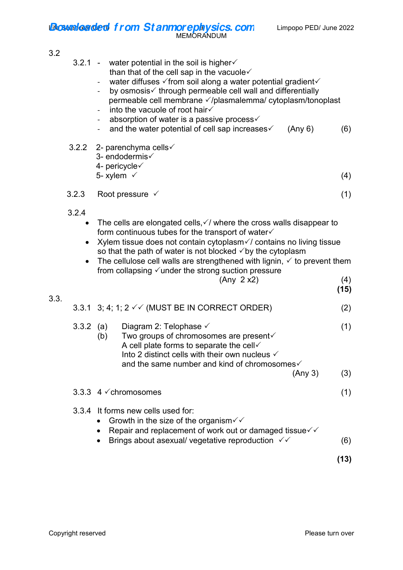**Life SMS/Gerger 5the Stammorephysics.com** Limpopo PED/ June 2022 **Downloaded f rom St anmorephysics. com**

MEMORANDUM

# 3.2

| 3.2  |                                 | 3.2.1 - water potential in the soil is higher $\checkmark$<br>than that of the cell sap in the vacuole $\checkmark$<br>water diffuses √ from soil along a water potential gradient√<br>by osmosis√ through permeable cell wall and differentially<br>permeable cell membrane √/plasmalemma/ cytoplasm/tonoplast<br>into the vacuole of root hair√<br>absorption of water is a passive process√<br>and the water potential of cell sap increases<br>(Any 6)<br>3.2.2 2- parenchyma cells $\checkmark$<br>3- endodermis√ | (6)         |
|------|---------------------------------|------------------------------------------------------------------------------------------------------------------------------------------------------------------------------------------------------------------------------------------------------------------------------------------------------------------------------------------------------------------------------------------------------------------------------------------------------------------------------------------------------------------------|-------------|
|      |                                 | 4- pericycle√<br>5- xylem $\checkmark$                                                                                                                                                                                                                                                                                                                                                                                                                                                                                 | (4)         |
|      | 3.2.3                           | Root pressure $\checkmark$                                                                                                                                                                                                                                                                                                                                                                                                                                                                                             | (1)         |
|      | 3.2.4<br>$\bullet$<br>$\bullet$ | The cells are elongated cells, $\checkmark$ where the cross walls disappear to<br>form continuous tubes for the transport of water√<br>Xylem tissue does not contain cytoplasm in contains no living tissue<br>so that the path of water is not blocked $\checkmark$ by the cytoplasm<br>The cellulose cell walls are strengthened with lignin, $\checkmark$ to prevent them<br>from collapsing $\checkmark$ under the strong suction pressure<br>(Any 2 x2)                                                           | (4)<br>(15) |
| 3.3. |                                 | 3.3.1 3; 4; 1; 2 √ √ (MUST BE IN CORRECT ORDER)                                                                                                                                                                                                                                                                                                                                                                                                                                                                        | (2)         |
|      | $3.3.2$ (a)                     | Diagram 2: Telophase $\checkmark$<br>Two groups of chromosomes are present√<br>(b)<br>A cell plate forms to separate the cell $\checkmark$<br>Into 2 distinct cells with their own nucleus $\checkmark$<br>and the same number and kind of chromosomes√<br>(Any 3)                                                                                                                                                                                                                                                     | (1)<br>(3)  |
|      |                                 | 3.3.3 $4 \checkmark$ chromosomes                                                                                                                                                                                                                                                                                                                                                                                                                                                                                       | (1)         |
|      | 3.3.4                           | It forms new cells used for:<br>Growth in the size of the organism $\checkmark\checkmark$<br>Repair and replacement of work out or damaged tissue $\checkmark$<br>Brings about asexual/ vegetative reproduction $\sqrt{6}$                                                                                                                                                                                                                                                                                             | (6)<br>(13) |
|      |                                 |                                                                                                                                                                                                                                                                                                                                                                                                                                                                                                                        |             |